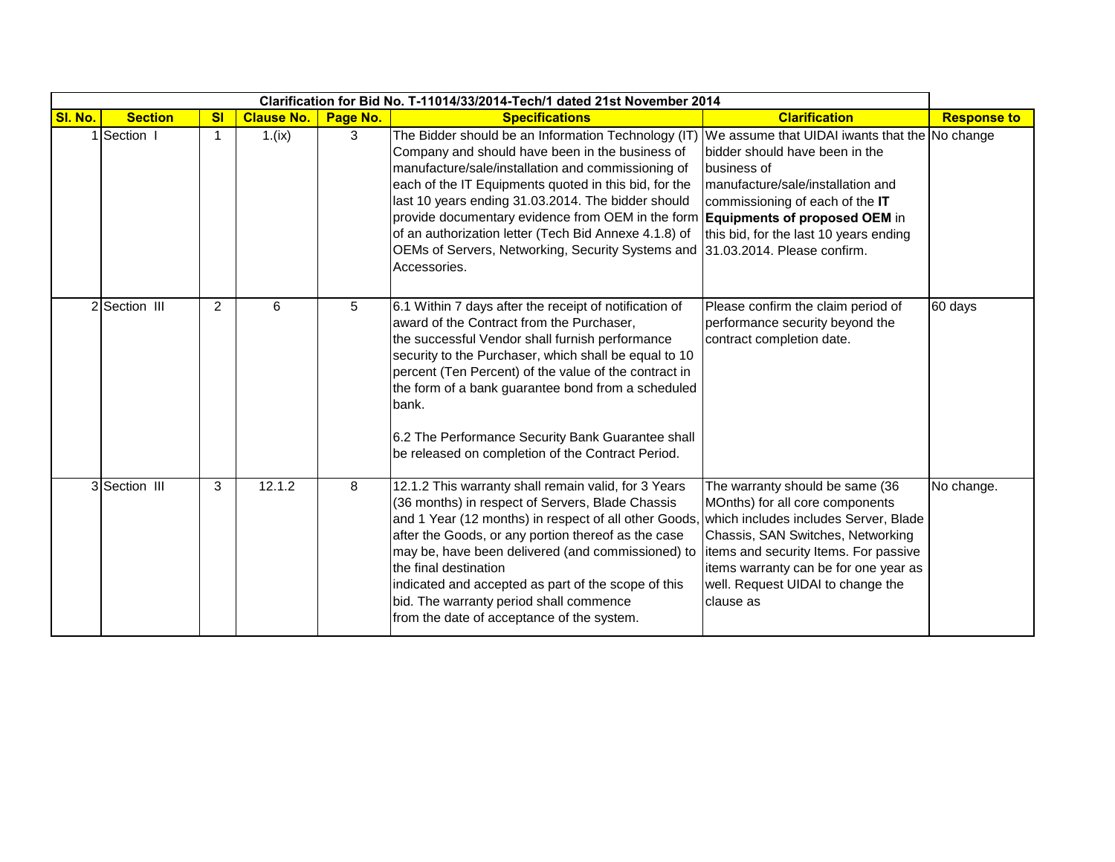|         |                |                |                   |          | Clarification for Bid No. T-11014/33/2014-Tech/1 dated 21st November 2014                                                                                                                                                                                                                                                                                                                                                                                                                                                       |                                                                                                                                                                                                                                                                                      |                    |
|---------|----------------|----------------|-------------------|----------|---------------------------------------------------------------------------------------------------------------------------------------------------------------------------------------------------------------------------------------------------------------------------------------------------------------------------------------------------------------------------------------------------------------------------------------------------------------------------------------------------------------------------------|--------------------------------------------------------------------------------------------------------------------------------------------------------------------------------------------------------------------------------------------------------------------------------------|--------------------|
| SI. No. | <b>Section</b> | s <sub>l</sub> | <b>Clause No.</b> | Page No. | <b>Specifications</b>                                                                                                                                                                                                                                                                                                                                                                                                                                                                                                           | <b>Clarification</b>                                                                                                                                                                                                                                                                 | <b>Response to</b> |
|         | 1 Section 1    |                | 1.(ix)            | 3        | The Bidder should be an Information Technology (IT)<br>Company and should have been in the business of<br>manufacture/sale/installation and commissioning of<br>each of the IT Equipments quoted in this bid, for the<br>last 10 years ending 31.03.2014. The bidder should<br>provide documentary evidence from OEM in the form <b>Equipments of proposed OEM</b> in<br>of an authorization letter (Tech Bid Annexe 4.1.8) of<br>OEMs of Servers, Networking, Security Systems and 31.03.2014. Please confirm.<br>Accessories. | We assume that UIDAI iwants that the No change<br>bidder should have been in the<br>business of<br>manufacture/sale/installation and<br>commissioning of each of the IT<br>this bid, for the last 10 years ending                                                                    |                    |
|         | 2 Section III  | $\overline{2}$ | 6                 | 5        | 6.1 Within 7 days after the receipt of notification of<br>award of the Contract from the Purchaser,<br>the successful Vendor shall furnish performance<br>security to the Purchaser, which shall be equal to 10<br>percent (Ten Percent) of the value of the contract in<br>the form of a bank guarantee bond from a scheduled<br>bank.<br>6.2 The Performance Security Bank Guarantee shall<br>be released on completion of the Contract Period.                                                                               | Please confirm the claim period of<br>performance security beyond the<br>contract completion date.                                                                                                                                                                                   | 60 days            |
|         | 3 Section III  | 3              | 12.1.2            | 8        | 12.1.2 This warranty shall remain valid, for 3 Years<br>(36 months) in respect of Servers, Blade Chassis<br>and 1 Year (12 months) in respect of all other Goods,<br>after the Goods, or any portion thereof as the case<br>may be, have been delivered (and commissioned) to<br>the final destination<br>indicated and accepted as part of the scope of this<br>bid. The warranty period shall commence<br>from the date of acceptance of the system.                                                                          | The warranty should be same (36<br>MOnths) for all core components<br>which includes includes Server, Blade<br>Chassis, SAN Switches, Networking<br>items and security Items. For passive<br>items warranty can be for one year as<br>well. Request UIDAI to change the<br>clause as | No change.         |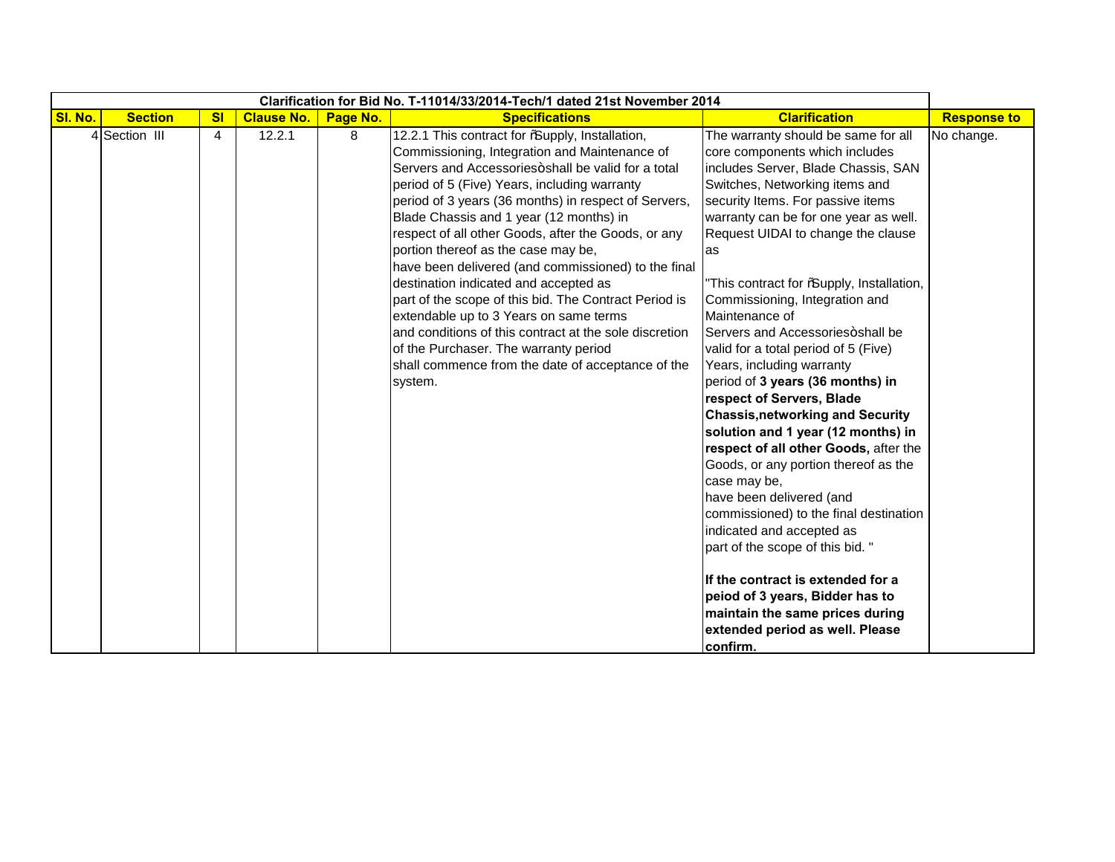|         |                |                |                   |          | Clarification for Bid No. T-11014/33/2014-Tech/1 dated 21st November 2014                                                                                                                                                                                                                                                                                                                                                                                                                                                                                                                                                                                                                                                                                                     |                                                                                                                                                                                                                                                                                                                                                                                                                                                                                                                                                                                                                                                                                                                                                                                                                                                                                                                                                                                                                                      |                    |
|---------|----------------|----------------|-------------------|----------|-------------------------------------------------------------------------------------------------------------------------------------------------------------------------------------------------------------------------------------------------------------------------------------------------------------------------------------------------------------------------------------------------------------------------------------------------------------------------------------------------------------------------------------------------------------------------------------------------------------------------------------------------------------------------------------------------------------------------------------------------------------------------------|--------------------------------------------------------------------------------------------------------------------------------------------------------------------------------------------------------------------------------------------------------------------------------------------------------------------------------------------------------------------------------------------------------------------------------------------------------------------------------------------------------------------------------------------------------------------------------------------------------------------------------------------------------------------------------------------------------------------------------------------------------------------------------------------------------------------------------------------------------------------------------------------------------------------------------------------------------------------------------------------------------------------------------------|--------------------|
| SI. No. | <b>Section</b> | s <sub>l</sub> | <b>Clause No.</b> | Page No. | <b>Specifications</b>                                                                                                                                                                                                                                                                                                                                                                                                                                                                                                                                                                                                                                                                                                                                                         | <b>Clarification</b>                                                                                                                                                                                                                                                                                                                                                                                                                                                                                                                                                                                                                                                                                                                                                                                                                                                                                                                                                                                                                 | <b>Response to</b> |
|         | 4 Section III  | 4              | 12.2.1            | 8        | 12.2.1 This contract for % upply, Installation,<br>Commissioning, Integration and Maintenance of<br>Servers and Accessories+shall be valid for a total<br>period of 5 (Five) Years, including warranty<br>period of 3 years (36 months) in respect of Servers,<br>Blade Chassis and 1 year (12 months) in<br>respect of all other Goods, after the Goods, or any<br>portion thereof as the case may be,<br>have been delivered (and commissioned) to the final<br>destination indicated and accepted as<br>part of the scope of this bid. The Contract Period is<br>extendable up to 3 Years on same terms<br>and conditions of this contract at the sole discretion<br>of the Purchaser. The warranty period<br>shall commence from the date of acceptance of the<br>system. | The warranty should be same for all<br>core components which includes<br>includes Server, Blade Chassis, SAN<br>Switches, Networking items and<br>security Items. For passive items<br>warranty can be for one year as well.<br>Request UIDAI to change the clause<br>as<br>"This contract for %upply, Installation,<br>Commissioning, Integration and<br>Maintenance of<br>Servers and Accessories+shall be<br>valid for a total period of 5 (Five)<br>Years, including warranty<br>period of 3 years (36 months) in<br>respect of Servers, Blade<br><b>Chassis, networking and Security</b><br>solution and 1 year (12 months) in<br>respect of all other Goods, after the<br>Goods, or any portion thereof as the<br>case may be,<br>have been delivered (and<br>commissioned) to the final destination<br>indicated and accepted as<br>part of the scope of this bid."<br>If the contract is extended for a<br>peiod of 3 years, Bidder has to<br>maintain the same prices during<br>extended period as well. Please<br>confirm. | No change.         |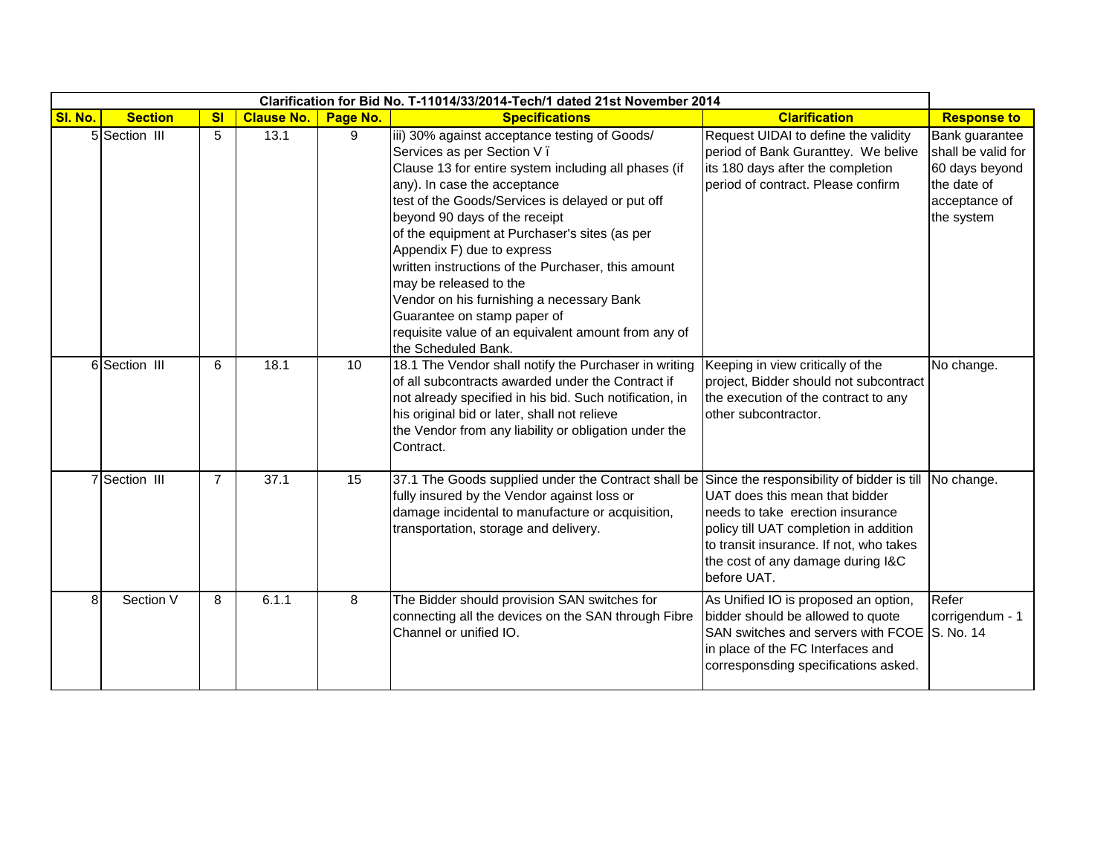|         |                |                |                   |          | Clarification for Bid No. T-11014/33/2014-Tech/1 dated 21st November 2014                                                                                                                                                                                                                                                                                                                                                                                                                                                                                                         |                                                                                                                                                                                                             |                                                                                                      |
|---------|----------------|----------------|-------------------|----------|-----------------------------------------------------------------------------------------------------------------------------------------------------------------------------------------------------------------------------------------------------------------------------------------------------------------------------------------------------------------------------------------------------------------------------------------------------------------------------------------------------------------------------------------------------------------------------------|-------------------------------------------------------------------------------------------------------------------------------------------------------------------------------------------------------------|------------------------------------------------------------------------------------------------------|
| SI. No. | <b>Section</b> | s <sub>l</sub> | <b>Clause No.</b> | Page No. | <b>Specifications</b>                                                                                                                                                                                                                                                                                                                                                                                                                                                                                                                                                             | <b>Clarification</b>                                                                                                                                                                                        | <b>Response to</b>                                                                                   |
|         | 5 Section III  | 5              | 13.1              | 9        | iii) 30% against acceptance testing of Goods/<br>Services as per Section V.<br>Clause 13 for entire system including all phases (if<br>any). In case the acceptance<br>test of the Goods/Services is delayed or put off<br>beyond 90 days of the receipt<br>of the equipment at Purchaser's sites (as per<br>Appendix F) due to express<br>written instructions of the Purchaser, this amount<br>may be released to the<br>Vendor on his furnishing a necessary Bank<br>Guarantee on stamp paper of<br>requisite value of an equivalent amount from any of<br>the Scheduled Bank. | Request UIDAI to define the validity<br>period of Bank Guranttey. We belive<br>its 180 days after the completion<br>period of contract. Please confirm                                                      | Bank guarantee<br>shall be valid for<br>60 days beyond<br>the date of<br>acceptance of<br>the system |
|         | 6 Section III  | 6              | 18.1              | 10       | 18.1 The Vendor shall notify the Purchaser in writing<br>of all subcontracts awarded under the Contract if<br>not already specified in his bid. Such notification, in<br>his original bid or later, shall not relieve<br>the Vendor from any liability or obligation under the<br>Contract.                                                                                                                                                                                                                                                                                       | Keeping in view critically of the<br>project, Bidder should not subcontract<br>the execution of the contract to any<br>other subcontractor.                                                                 | No change.                                                                                           |
|         | 7 Section III  | $\overline{7}$ | 37.1              | 15       | 37.1 The Goods supplied under the Contract shall be Since the responsibility of bidder is till No change.<br>fully insured by the Vendor against loss or<br>damage incidental to manufacture or acquisition,<br>transportation, storage and delivery.                                                                                                                                                                                                                                                                                                                             | UAT does this mean that bidder<br>needs to take erection insurance<br>policy till UAT completion in addition<br>to transit insurance. If not, who takes<br>the cost of any damage during I&C<br>before UAT. |                                                                                                      |
| 8       | Section V      | 8              | 6.1.1             | 8        | The Bidder should provision SAN switches for<br>connecting all the devices on the SAN through Fibre<br>Channel or unified IO.                                                                                                                                                                                                                                                                                                                                                                                                                                                     | As Unified IO is proposed an option,<br>bidder should be allowed to quote<br>SAN switches and servers with FCOE S. No. 14<br>in place of the FC Interfaces and<br>corresponsding specifications asked.      | Refer<br>corrigendum - 1                                                                             |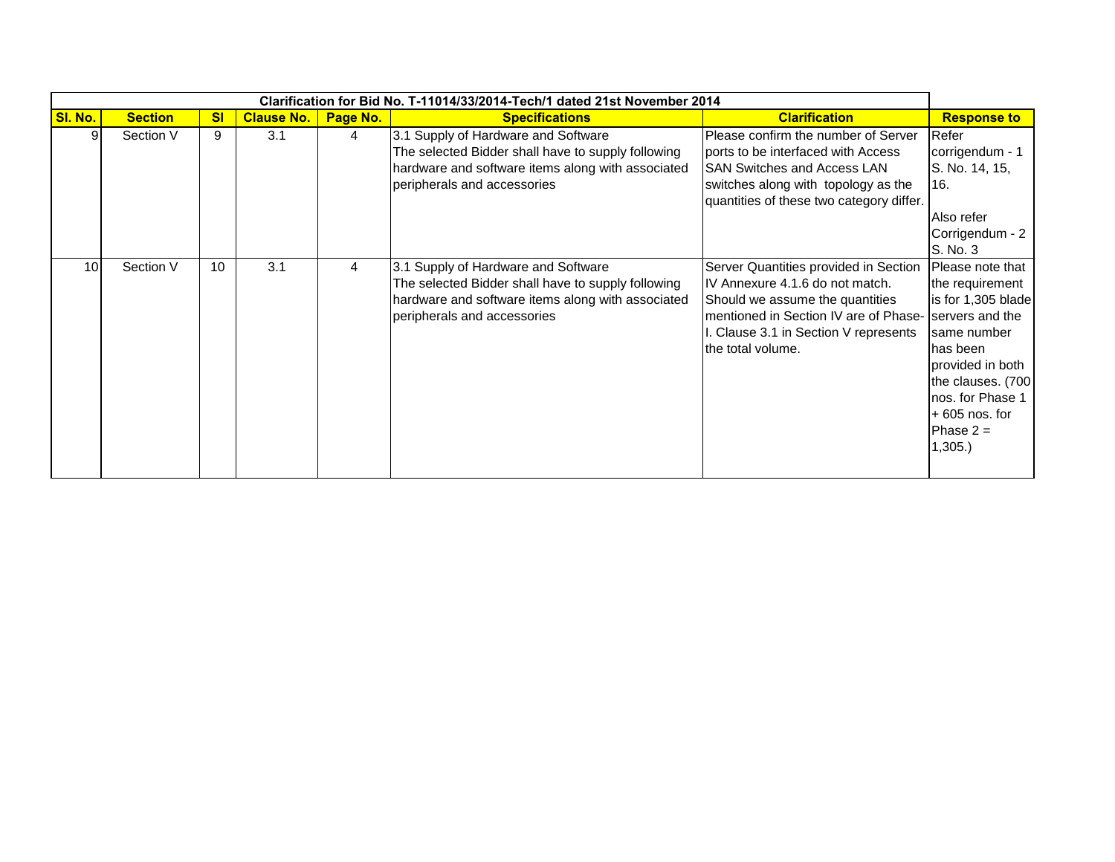|                |                |           |                   |          | Clarification for Bid No. T-11014/33/2014-Tech/1 dated 21st November 2014                                                                                                     |                                                                                                                                                                                                                    |                                                                                                                                                                                                                   |
|----------------|----------------|-----------|-------------------|----------|-------------------------------------------------------------------------------------------------------------------------------------------------------------------------------|--------------------------------------------------------------------------------------------------------------------------------------------------------------------------------------------------------------------|-------------------------------------------------------------------------------------------------------------------------------------------------------------------------------------------------------------------|
| <b>SI. No.</b> | <b>Section</b> | <b>SI</b> | <b>Clause No.</b> | Page No. | <b>Specifications</b>                                                                                                                                                         | <b>Clarification</b>                                                                                                                                                                                               | <b>Response to</b>                                                                                                                                                                                                |
|                | Section V      | 9         | 3.1               | 4        | 3.1 Supply of Hardware and Software<br>The selected Bidder shall have to supply following<br>hardware and software items along with associated<br>peripherals and accessories | Please confirm the number of Server<br>ports to be interfaced with Access<br><b>SAN Switches and Access LAN</b><br>switches along with topology as the<br>quantities of these two category differ.                 | Refer<br>corrigendum - 1<br>S. No. 14, 15,<br>16.<br>Also refer<br>Corrigendum - 2<br>S. No. 3                                                                                                                    |
| 10             | Section V      | 10        | 3.1               | 4        | 3.1 Supply of Hardware and Software<br>The selected Bidder shall have to supply following<br>hardware and software items along with associated<br>peripherals and accessories | Server Quantities provided in Section<br>IV Annexure 4.1.6 do not match.<br>Should we assume the quantities<br>mentioned in Section IV are of Phase-<br>I. Clause 3.1 in Section V represents<br>the total volume. | Please note that<br>the requirement<br>is for 1,305 blade<br>servers and the<br>Isame number<br>has been<br>provided in both<br>the clauses. (700<br>nos. for Phase 1<br>$+605$ nos. for<br>Phase $2 =$<br>1,305. |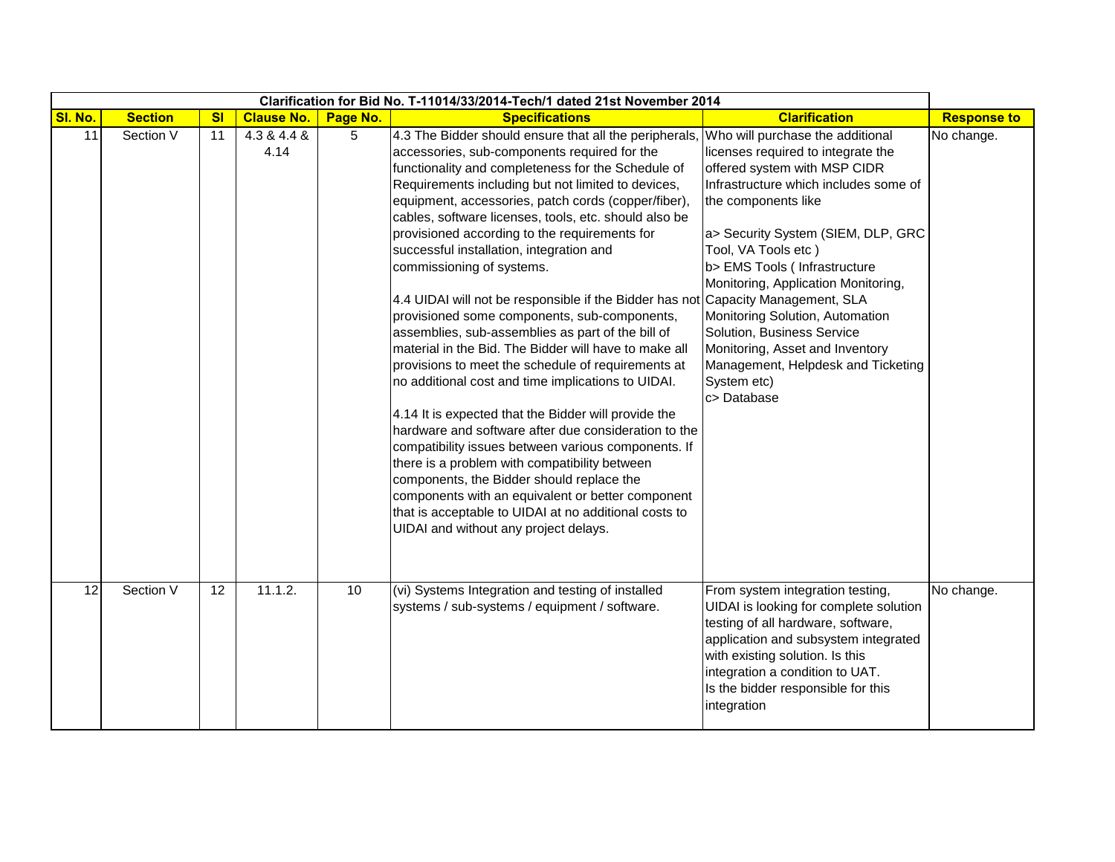|         |                |                |                     |          | Clarification for Bid No. T-11014/33/2014-Tech/1 dated 21st November 2014                                                                                                                                                                                                                                                                                                                                                                                                                                                                                                                                                                                                                                                                                                                                                                                                                                                                                                                                                                                                                                                                                                                                                     |                                                                                                                                                                                                                                                                                                                                                                                                                                                                                                                |                    |
|---------|----------------|----------------|---------------------|----------|-------------------------------------------------------------------------------------------------------------------------------------------------------------------------------------------------------------------------------------------------------------------------------------------------------------------------------------------------------------------------------------------------------------------------------------------------------------------------------------------------------------------------------------------------------------------------------------------------------------------------------------------------------------------------------------------------------------------------------------------------------------------------------------------------------------------------------------------------------------------------------------------------------------------------------------------------------------------------------------------------------------------------------------------------------------------------------------------------------------------------------------------------------------------------------------------------------------------------------|----------------------------------------------------------------------------------------------------------------------------------------------------------------------------------------------------------------------------------------------------------------------------------------------------------------------------------------------------------------------------------------------------------------------------------------------------------------------------------------------------------------|--------------------|
| SI. No. | <b>Section</b> | s <sub>l</sub> | <b>Clause No.</b>   | Page No. | <b>Specifications</b>                                                                                                                                                                                                                                                                                                                                                                                                                                                                                                                                                                                                                                                                                                                                                                                                                                                                                                                                                                                                                                                                                                                                                                                                         | <b>Clarification</b>                                                                                                                                                                                                                                                                                                                                                                                                                                                                                           | <b>Response to</b> |
| 11      | Section V      | 11             | 4.3 & 4.4 &<br>4.14 | 5        | 4.3 The Bidder should ensure that all the peripherals,<br>accessories, sub-components required for the<br>functionality and completeness for the Schedule of<br>Requirements including but not limited to devices,<br>equipment, accessories, patch cords (copper/fiber),<br>cables, software licenses, tools, etc. should also be<br>provisioned according to the requirements for<br>successful installation, integration and<br>commissioning of systems.<br>4.4 UIDAI will not be responsible if the Bidder has not<br>provisioned some components, sub-components,<br>assemblies, sub-assemblies as part of the bill of<br>material in the Bid. The Bidder will have to make all<br>provisions to meet the schedule of requirements at<br>no additional cost and time implications to UIDAI.<br>4.14 It is expected that the Bidder will provide the<br>hardware and software after due consideration to the<br>compatibility issues between various components. If<br>there is a problem with compatibility between<br>components, the Bidder should replace the<br>components with an equivalent or better component<br>that is acceptable to UIDAI at no additional costs to<br>UIDAI and without any project delays. | Who will purchase the additional<br>licenses required to integrate the<br>offered system with MSP CIDR<br>Infrastructure which includes some of<br>the components like<br>a> Security System (SIEM, DLP, GRC<br>Tool, VA Tools etc)<br>b> EMS Tools (Infrastructure<br>Monitoring, Application Monitoring,<br>Capacity Management, SLA<br>Monitoring Solution, Automation<br>Solution, Business Service<br>Monitoring, Asset and Inventory<br>Management, Helpdesk and Ticketing<br>System etc)<br>c> Database | No change.         |
| 12      | Section V      | 12             | 11.1.2.             | 10       | (vi) Systems Integration and testing of installed<br>systems / sub-systems / equipment / software.                                                                                                                                                                                                                                                                                                                                                                                                                                                                                                                                                                                                                                                                                                                                                                                                                                                                                                                                                                                                                                                                                                                            | From system integration testing,<br>UIDAI is looking for complete solution<br>testing of all hardware, software,<br>application and subsystem integrated<br>with existing solution. Is this<br>integration a condition to UAT.<br>Is the bidder responsible for this<br>integration                                                                                                                                                                                                                            | No change.         |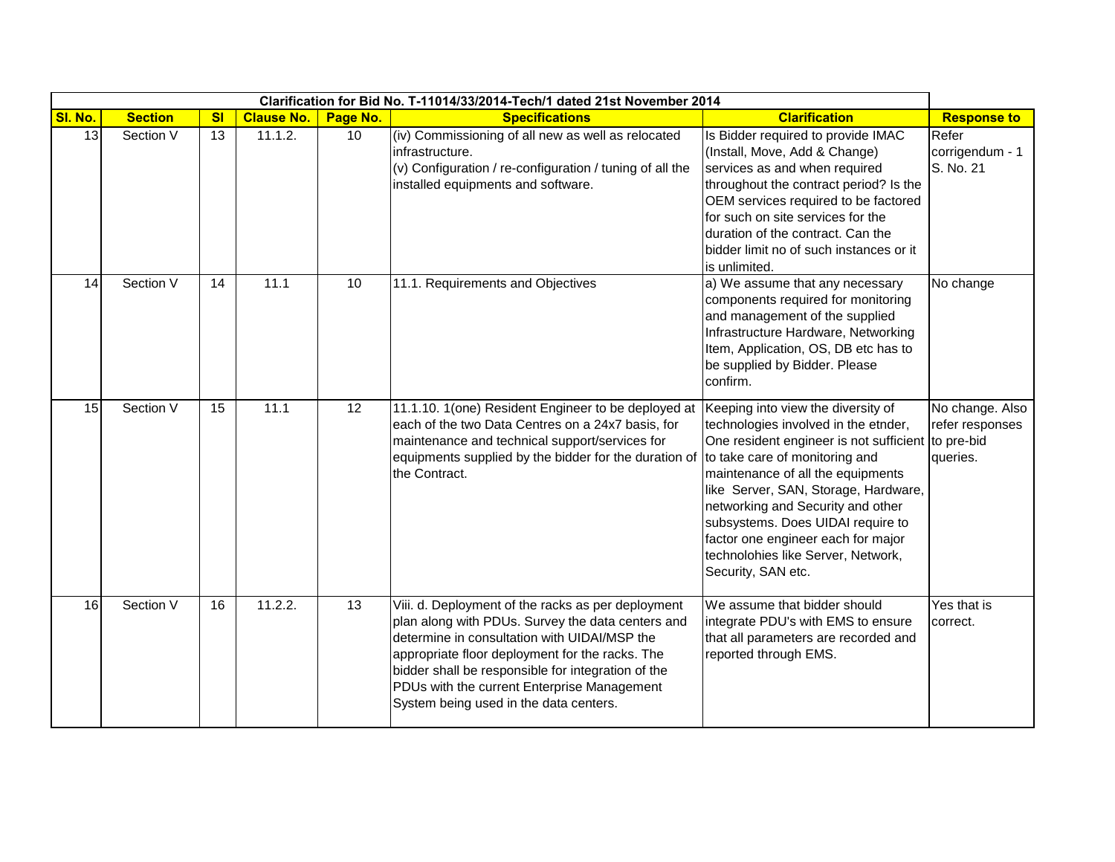|         |                |                |                   |          | Clarification for Bid No. T-11014/33/2014-Tech/1 dated 21st November 2014                                                                                                                                                                                                                                                                                 |                                                                                                                                                                                                                                                                                                                                                                                                                             |                                                |
|---------|----------------|----------------|-------------------|----------|-----------------------------------------------------------------------------------------------------------------------------------------------------------------------------------------------------------------------------------------------------------------------------------------------------------------------------------------------------------|-----------------------------------------------------------------------------------------------------------------------------------------------------------------------------------------------------------------------------------------------------------------------------------------------------------------------------------------------------------------------------------------------------------------------------|------------------------------------------------|
| SI. No. | <b>Section</b> | s <sub>l</sub> | <b>Clause No.</b> | Page No. | <b>Specifications</b>                                                                                                                                                                                                                                                                                                                                     | <b>Clarification</b>                                                                                                                                                                                                                                                                                                                                                                                                        | <b>Response to</b>                             |
| 13      | Section V      | 13             | 11.1.2.           | 10       | (iv) Commissioning of all new as well as relocated<br>infrastructure.<br>(v) Configuration / re-configuration / tuning of all the<br>installed equipments and software.                                                                                                                                                                                   | Is Bidder required to provide IMAC<br>(Install, Move, Add & Change)<br>services as and when required<br>throughout the contract period? Is the<br>OEM services required to be factored<br>for such on site services for the<br>duration of the contract. Can the<br>bidder limit no of such instances or it<br>is unlimited.                                                                                                | Refer<br>corrigendum - 1<br>S. No. 21          |
| 14      | Section V      | 14             | 11.1              | 10       | 11.1. Requirements and Objectives                                                                                                                                                                                                                                                                                                                         | a) We assume that any necessary<br>components required for monitoring<br>and management of the supplied<br>Infrastructure Hardware, Networking<br>Item, Application, OS, DB etc has to<br>be supplied by Bidder. Please<br>confirm.                                                                                                                                                                                         | No change                                      |
| 15      | Section V      | 15             | 11.1              | 12       | 11.1.10. 1(one) Resident Engineer to be deployed at<br>each of the two Data Centres on a 24x7 basis, for<br>maintenance and technical support/services for<br>equipments supplied by the bidder for the duration of<br>the Contract.                                                                                                                      | Keeping into view the diversity of<br>technologies involved in the etnder,<br>One resident engineer is not sufficient to pre-bid<br>to take care of monitoring and<br>maintenance of all the equipments<br>like Server, SAN, Storage, Hardware,<br>networking and Security and other<br>subsystems. Does UIDAI require to<br>factor one engineer each for major<br>technolohies like Server, Network,<br>Security, SAN etc. | No change. Also<br>refer responses<br>queries. |
| 16      | Section V      | 16             | 11.2.2.           | 13       | Viii. d. Deployment of the racks as per deployment<br>plan along with PDUs. Survey the data centers and<br>determine in consultation with UIDAI/MSP the<br>appropriate floor deployment for the racks. The<br>bidder shall be responsible for integration of the<br>PDUs with the current Enterprise Management<br>System being used in the data centers. | We assume that bidder should<br>integrate PDU's with EMS to ensure<br>that all parameters are recorded and<br>reported through EMS.                                                                                                                                                                                                                                                                                         | Yes that is<br>correct.                        |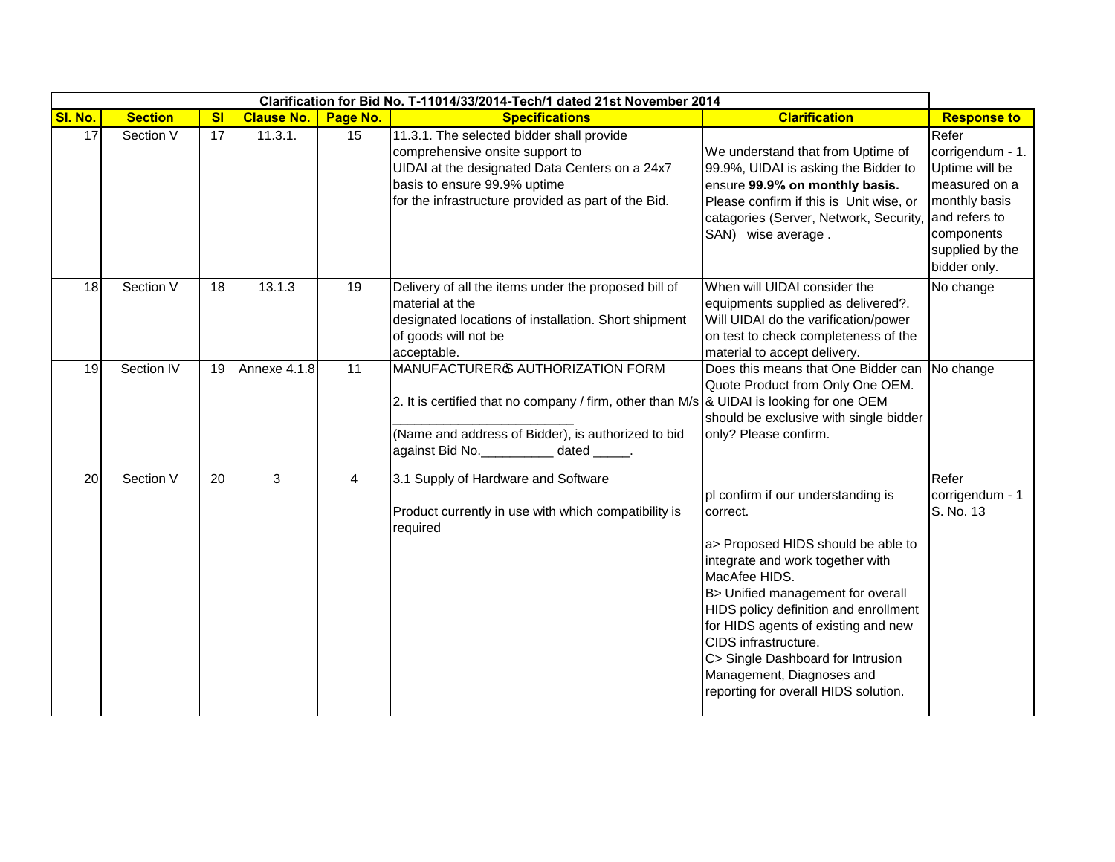|         |                |                |                   |          | Clarification for Bid No. T-11014/33/2014-Tech/1 dated 21st November 2014                                                                                                                                                          |                                                                                                                                                                                                                                                                                                                                                                                                  |                                                                                                                                                 |
|---------|----------------|----------------|-------------------|----------|------------------------------------------------------------------------------------------------------------------------------------------------------------------------------------------------------------------------------------|--------------------------------------------------------------------------------------------------------------------------------------------------------------------------------------------------------------------------------------------------------------------------------------------------------------------------------------------------------------------------------------------------|-------------------------------------------------------------------------------------------------------------------------------------------------|
| SI. No. | <b>Section</b> | s <sub>l</sub> | <b>Clause No.</b> | Page No. | <b>Specifications</b>                                                                                                                                                                                                              | <b>Clarification</b>                                                                                                                                                                                                                                                                                                                                                                             | <b>Response to</b>                                                                                                                              |
| 17      | Section V      | 17             | 11.3.1.           | 15       | 11.3.1. The selected bidder shall provide<br>comprehensive onsite support to<br>UIDAI at the designated Data Centers on a 24x7<br>basis to ensure 99.9% uptime<br>for the infrastructure provided as part of the Bid.              | We understand that from Uptime of<br>99.9%, UIDAI is asking the Bidder to<br>ensure 99.9% on monthly basis.<br>Please confirm if this is Unit wise, or<br>catagories (Server, Network, Security<br>SAN) wise average.                                                                                                                                                                            | Refer<br>corrigendum - 1.<br>Uptime will be<br>measured on a<br>monthly basis<br>and refers to<br>components<br>supplied by the<br>bidder only. |
| 18      | Section V      | 18             | 13.1.3            | 19       | Delivery of all the items under the proposed bill of<br>material at the<br>designated locations of installation. Short shipment<br>of goods will not be<br>acceptable.                                                             | When will UIDAI consider the<br>equipments supplied as delivered?.<br>Will UIDAI do the varification/power<br>on test to check completeness of the<br>material to accept delivery.                                                                                                                                                                                                               | No change                                                                                                                                       |
| 19      | Section IV     | 19             | Annexe 4.1.8      | 11       | MANUFACTURER & AUTHORIZATION FORM<br>2. It is certified that no company / firm, other than M/s $\&$ UIDAI is looking for one OEM<br>(Name and address of Bidder), is authorized to bid<br>against Bid No. ___________ dated _____. | Does this means that One Bidder can<br>Quote Product from Only One OEM.<br>should be exclusive with single bidder<br>only? Please confirm.                                                                                                                                                                                                                                                       | No change                                                                                                                                       |
| 20      | Section V      | 20             | 3                 | 4        | 3.1 Supply of Hardware and Software<br>Product currently in use with which compatibility is<br>required                                                                                                                            | pl confirm if our understanding is<br>correct.<br>a> Proposed HIDS should be able to<br>integrate and work together with<br>MacAfee HIDS.<br>B> Unified management for overall<br>HIDS policy definition and enrollment<br>for HIDS agents of existing and new<br>CIDS infrastructure.<br>C> Single Dashboard for Intrusion<br>Management, Diagnoses and<br>reporting for overall HIDS solution. | Refer<br>corrigendum - 1<br>S. No. 13                                                                                                           |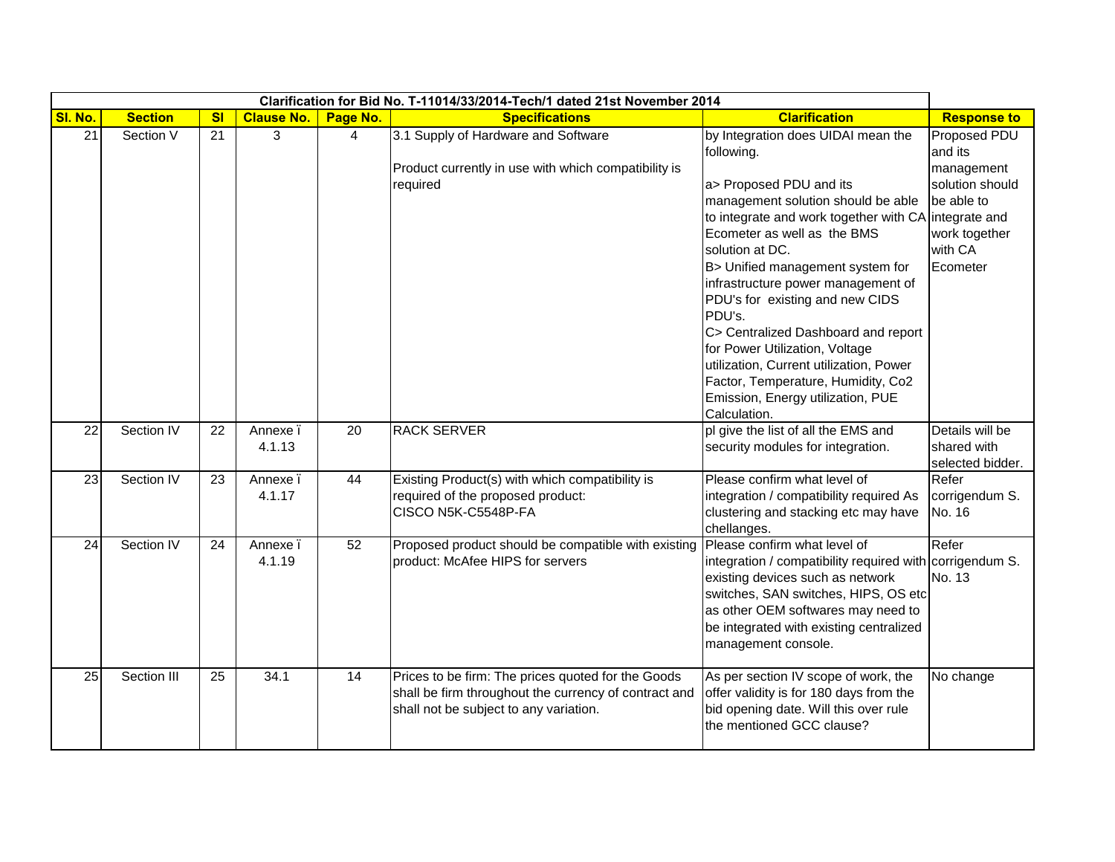|                 |                |                |                   |                 | Clarification for Bid No. T-11014/33/2014-Tech/1 dated 21st November 2014 |                                                          |                         |
|-----------------|----------------|----------------|-------------------|-----------------|---------------------------------------------------------------------------|----------------------------------------------------------|-------------------------|
| SI. No.         | <b>Section</b> | s <sub>l</sub> | <b>Clause No.</b> | Page No.        | <b>Specifications</b>                                                     | <b>Clarification</b>                                     | <b>Response to</b>      |
| $\overline{21}$ | Section V      | 21             | 3                 | $\overline{4}$  | 3.1 Supply of Hardware and Software                                       | by Integration does UIDAI mean the<br>following.         | Proposed PDU<br>and its |
|                 |                |                |                   |                 | Product currently in use with which compatibility is                      |                                                          | management              |
|                 |                |                |                   |                 | required                                                                  | a> Proposed PDU and its                                  | solution should         |
|                 |                |                |                   |                 |                                                                           | management solution should be able                       | be able to              |
|                 |                |                |                   |                 |                                                                           | to integrate and work together with CA integrate and     |                         |
|                 |                |                |                   |                 |                                                                           | Ecometer as well as the BMS                              | work together           |
|                 |                |                |                   |                 |                                                                           | solution at DC.                                          | with CA                 |
|                 |                |                |                   |                 |                                                                           | B> Unified management system for                         | Ecometer                |
|                 |                |                |                   |                 |                                                                           | infrastructure power management of                       |                         |
|                 |                |                |                   |                 |                                                                           | PDU's for existing and new CIDS                          |                         |
|                 |                |                |                   |                 |                                                                           | PDU's.                                                   |                         |
|                 |                |                |                   |                 |                                                                           | C> Centralized Dashboard and report                      |                         |
|                 |                |                |                   |                 |                                                                           | for Power Utilization, Voltage                           |                         |
|                 |                |                |                   |                 |                                                                           | utilization, Current utilization, Power                  |                         |
|                 |                |                |                   |                 |                                                                           | Factor, Temperature, Humidity, Co2                       |                         |
|                 |                |                |                   |                 |                                                                           | Emission, Energy utilization, PUE                        |                         |
|                 |                |                |                   |                 |                                                                           | Calculation.                                             |                         |
| 22              | Section IV     | 22             | Annexe.           | 20              | <b>RACK SERVER</b>                                                        | pl give the list of all the EMS and                      | Details will be         |
|                 |                |                | 4.1.13            |                 |                                                                           | security modules for integration.                        | shared with             |
|                 |                |                |                   |                 |                                                                           |                                                          | selected bidder.        |
| 23              | Section IV     | 23             | Annexe.           | 44              | Existing Product(s) with which compatibility is                           | Please confirm what level of                             | Refer                   |
|                 |                |                | 4.1.17            |                 | required of the proposed product:                                         | integration / compatibility required As                  | corrigendum S.          |
|                 |                |                |                   |                 | CISCO N5K-C5548P-FA                                                       | clustering and stacking etc may have<br>chellanges.      | No. 16                  |
| 24              | Section IV     | 24             | Annexe.           | 52              | Proposed product should be compatible with existing                       | Please confirm what level of                             | Refer                   |
|                 |                |                | 4.1.19            |                 | product: McAfee HIPS for servers                                          | integration / compatibility required with corrigendum S. |                         |
|                 |                |                |                   |                 |                                                                           | existing devices such as network                         | No. 13                  |
|                 |                |                |                   |                 |                                                                           | switches, SAN switches, HIPS, OS etc                     |                         |
|                 |                |                |                   |                 |                                                                           | as other OEM softwares may need to                       |                         |
|                 |                |                |                   |                 |                                                                           | be integrated with existing centralized                  |                         |
|                 |                |                |                   |                 |                                                                           | management console.                                      |                         |
|                 |                |                |                   |                 |                                                                           |                                                          |                         |
| 25              | Section III    | 25             | 34.1              | $\overline{14}$ | Prices to be firm: The prices quoted for the Goods                        | As per section IV scope of work, the                     | No change               |
|                 |                |                |                   |                 | shall be firm throughout the currency of contract and                     | offer validity is for 180 days from the                  |                         |
|                 |                |                |                   |                 | shall not be subject to any variation.                                    | bid opening date. Will this over rule                    |                         |
|                 |                |                |                   |                 |                                                                           | the mentioned GCC clause?                                |                         |
|                 |                |                |                   |                 |                                                                           |                                                          |                         |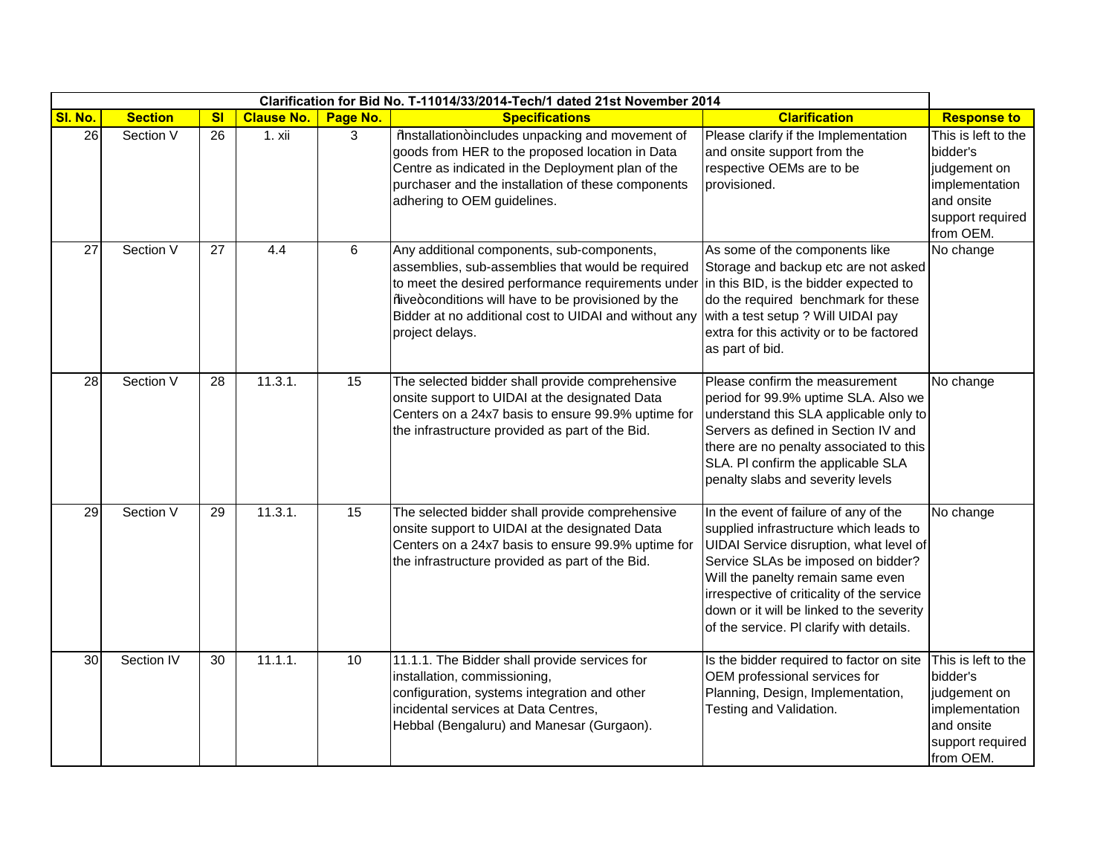|         |                |                 |                   |                 | Clarification for Bid No. T-11014/33/2014-Tech/1 dated 21st November 2014                                                                                                                                                                                                                                                      |                                                                                                                                                                                                                                                                                                                                              |                                                                                                                  |
|---------|----------------|-----------------|-------------------|-----------------|--------------------------------------------------------------------------------------------------------------------------------------------------------------------------------------------------------------------------------------------------------------------------------------------------------------------------------|----------------------------------------------------------------------------------------------------------------------------------------------------------------------------------------------------------------------------------------------------------------------------------------------------------------------------------------------|------------------------------------------------------------------------------------------------------------------|
| SI. No. | <b>Section</b> | s <sub>l</sub>  | <b>Clause No.</b> | Page No.        | <b>Specifications</b>                                                                                                                                                                                                                                                                                                          | <b>Clarification</b>                                                                                                                                                                                                                                                                                                                         | <b>Response to</b>                                                                                               |
| 26      | Section V      | 26              | 1. xii            | 3               | %bastallation+includes unpacking and movement of<br>goods from HER to the proposed location in Data<br>Centre as indicated in the Deployment plan of the<br>purchaser and the installation of these components<br>adhering to OEM guidelines.                                                                                  | Please clarify if the Implementation<br>and onsite support from the<br>respective OEMs are to be<br>provisioned.                                                                                                                                                                                                                             | This is left to the<br>bidder's<br>judgement on<br>implementation<br>and onsite<br>support required<br>from OEM. |
| 27      | Section V      | $\overline{27}$ | 4.4               | 6               | Any additional components, sub-components,<br>assemblies, sub-assemblies that would be required<br>to meet the desired performance requirements under in this BID, is the bidder expected to<br>%iwe+conditions will have to be provisioned by the<br>Bidder at no additional cost to UIDAI and without any<br>project delays. | As some of the components like<br>Storage and backup etc are not asked<br>do the required benchmark for these<br>with a test setup ? Will UIDAI pay<br>extra for this activity or to be factored<br>as part of bid.                                                                                                                          | No change                                                                                                        |
| 28      | Section V      | 28              | 11.3.1.           | 15              | The selected bidder shall provide comprehensive<br>onsite support to UIDAI at the designated Data<br>Centers on a 24x7 basis to ensure 99.9% uptime for<br>the infrastructure provided as part of the Bid.                                                                                                                     | Please confirm the measurement<br>period for 99.9% uptime SLA. Also we<br>understand this SLA applicable only to<br>Servers as defined in Section IV and<br>there are no penalty associated to this<br>SLA. PI confirm the applicable SLA<br>penalty slabs and severity levels                                                               | No change                                                                                                        |
| 29      | Section V      | $\overline{29}$ | 11.3.1.           | $\overline{15}$ | The selected bidder shall provide comprehensive<br>onsite support to UIDAI at the designated Data<br>Centers on a 24x7 basis to ensure 99.9% uptime for<br>the infrastructure provided as part of the Bid.                                                                                                                     | In the event of failure of any of the<br>supplied infrastructure which leads to<br>UIDAI Service disruption, what level of<br>Service SLAs be imposed on bidder?<br>Will the panelty remain same even<br>irrespective of criticality of the service<br>down or it will be linked to the severity<br>of the service. PI clarify with details. | No change                                                                                                        |
| 30      | Section IV     | 30              | 11.1.1.           | 10              | 11.1.1. The Bidder shall provide services for<br>installation, commissioning,<br>configuration, systems integration and other<br>incidental services at Data Centres,<br>Hebbal (Bengaluru) and Manesar (Gurgaon).                                                                                                             | Is the bidder required to factor on site<br>OEM professional services for<br>Planning, Design, Implementation,<br>Testing and Validation.                                                                                                                                                                                                    | This is left to the<br>bidder's<br>judgement on<br>implementation<br>and onsite<br>support required<br>from OEM. |